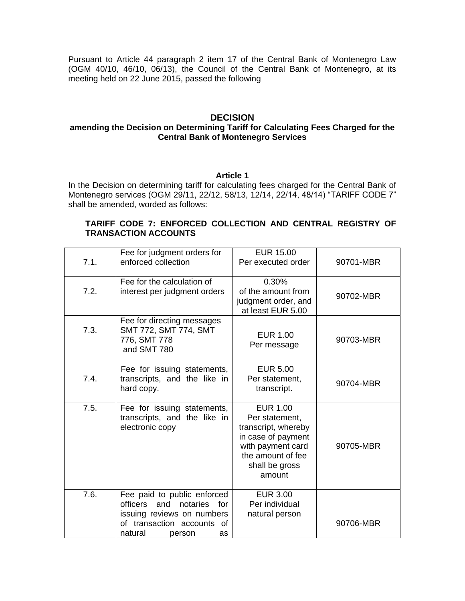Pursuant to Article 44 paragraph 2 item 17 of the Central Bank of Montenegro Law (OGM 40/10, 46/10, 06/13), the Council of the Central Bank of Montenegro, at its meeting held on 22 June 2015, passed the following

## **DECISION**

## **amending the Decision on Determining Tariff for Calculating Fees Charged for the Central Bank of Montenegro Services**

#### **Article 1**

In the Decision on determining tariff for calculating fees charged for the Central Bank of Montenegro services (OGM 29/11, 22/12, 58/13, 12/14, 22/14, 48/14) "TARIFF CODE 7" shall be amended, worded as follows:

## **TARIFF CODE 7: ENFORCED COLLECTION AND CENTRAL REGISTRY OF TRANSACTION ACCOUNTS**

| 7.1. | Fee for judgment orders for<br>enforced collection                                                                                                          | <b>EUR 15.00</b><br>Per executed order                                                                                                               | 90701-MBR |
|------|-------------------------------------------------------------------------------------------------------------------------------------------------------------|------------------------------------------------------------------------------------------------------------------------------------------------------|-----------|
| 7.2. | Fee for the calculation of<br>interest per judgment orders                                                                                                  | 0.30%<br>of the amount from<br>judgment order, and<br>at least EUR 5.00                                                                              | 90702-MBR |
| 7.3. | Fee for directing messages<br>SMT 772, SMT 774, SMT<br>776, SMT 778<br>and SMT 780                                                                          | <b>EUR 1.00</b><br>Per message                                                                                                                       | 90703-MBR |
| 7.4. | Fee for issuing statements,<br>transcripts, and the like in<br>hard copy.                                                                                   | <b>EUR 5.00</b><br>Per statement,<br>transcript.                                                                                                     | 90704-MBR |
| 7.5. | Fee for issuing statements,<br>transcripts, and the like in<br>electronic copy                                                                              | <b>EUR 1.00</b><br>Per statement,<br>transcript, whereby<br>in case of payment<br>with payment card<br>the amount of fee<br>shall be gross<br>amount | 90705-MBR |
| 7.6. | Fee paid to public enforced<br>officers<br>and<br>notaries<br>for<br>issuing reviews on numbers<br>of transaction accounts<br>of<br>natural<br>person<br>as | <b>EUR 3.00</b><br>Per individual<br>natural person                                                                                                  | 90706-MBR |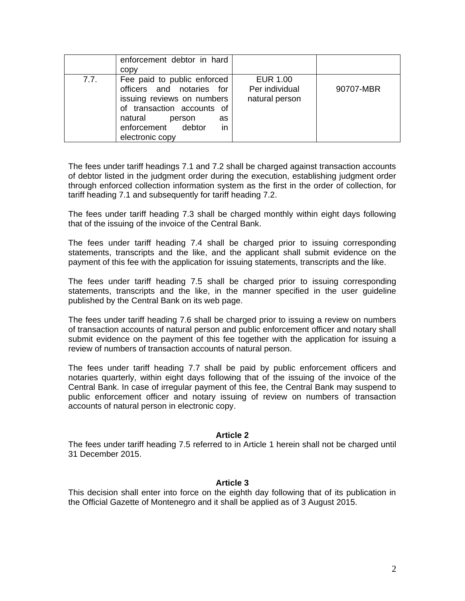|      | enforcement debtor in hard<br>copy                                                                                                                                                             |                                                     |           |
|------|------------------------------------------------------------------------------------------------------------------------------------------------------------------------------------------------|-----------------------------------------------------|-----------|
| 7.7. | Fee paid to public enforced<br>officers and notaries for<br>issuing reviews on numbers<br>of transaction accounts of<br>natural<br>person<br>as<br>in<br>enforcement debtor<br>electronic copy | <b>EUR 1.00</b><br>Per individual<br>natural person | 90707-MBR |

The fees under tariff headings 7.1 and 7.2 shall be charged against transaction accounts of debtor listed in the judgment order during the execution, establishing judgment order through enforced collection information system as the first in the order of collection, for tariff heading 7.1 and subsequently for tariff heading 7.2.

The fees under tariff heading 7.3 shall be charged monthly within eight days following that of the issuing of the invoice of the Central Bank.

The fees under tariff heading 7.4 shall be charged prior to issuing corresponding statements, transcripts and the like, and the applicant shall submit evidence on the payment of this fee with the application for issuing statements, transcripts and the like.

The fees under tariff heading 7.5 shall be charged prior to issuing corresponding statements, transcripts and the like, in the manner specified in the user guideline published by the Central Bank on its web page.

The fees under tariff heading 7.6 shall be charged prior to issuing a review on numbers of transaction accounts of natural person and public enforcement officer and notary shall submit evidence on the payment of this fee together with the application for issuing a review of numbers of transaction accounts of natural person.

The fees under tariff heading 7.7 shall be paid by public enforcement officers and notaries quarterly, within eight days following that of the issuing of the invoice of the Central Bank. In case of irregular payment of this fee, the Central Bank may suspend to public enforcement officer and notary issuing of review on numbers of transaction accounts of natural person in electronic copy.

#### **Article 2**

The fees under tariff heading 7.5 referred to in Article 1 herein shall not be charged until 31 December 2015.

#### **Article 3**

This decision shall enter into force on the eighth day following that of its publication in the Official Gazette of Montenegro and it shall be applied as of 3 August 2015.